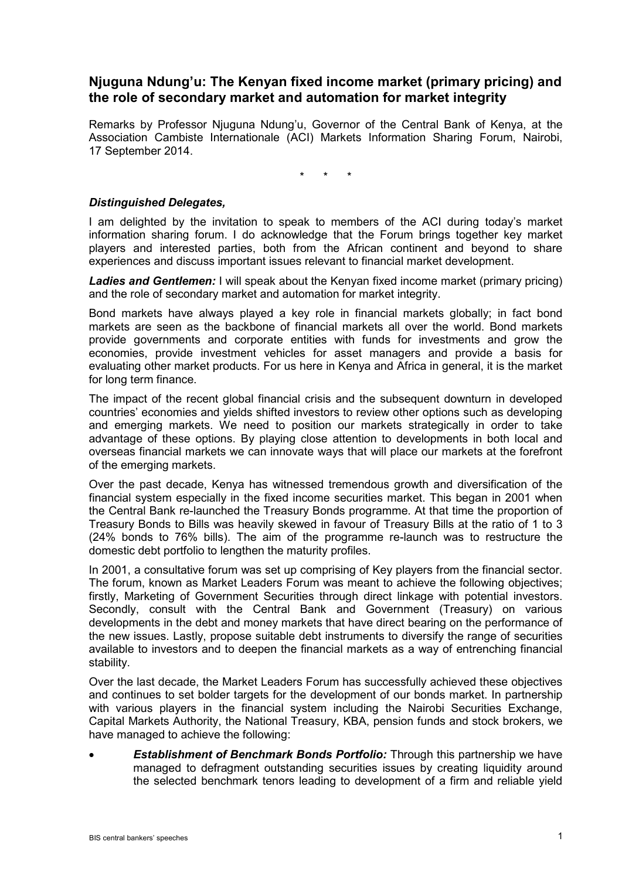# **Njuguna Ndung'u: The Kenyan fixed income market (primary pricing) and the role of secondary market and automation for market integrity**

Remarks by Professor Njuguna Ndung'u, Governor of the Central Bank of Kenya, at the Association Cambiste Internationale (ACI) Markets Information Sharing Forum, Nairobi, 17 September 2014.

\* \* \*

## *Distinguished Delegates,*

I am delighted by the invitation to speak to members of the ACI during today's market information sharing forum. I do acknowledge that the Forum brings together key market players and interested parties, both from the African continent and beyond to share experiences and discuss important issues relevant to financial market development.

*Ladies and Gentlemen:* I will speak about the Kenyan fixed income market (primary pricing) and the role of secondary market and automation for market integrity.

Bond markets have always played a key role in financial markets globally; in fact bond markets are seen as the backbone of financial markets all over the world. Bond markets provide governments and corporate entities with funds for investments and grow the economies, provide investment vehicles for asset managers and provide a basis for evaluating other market products. For us here in Kenya and Africa in general, it is the market for long term finance.

The impact of the recent global financial crisis and the subsequent downturn in developed countries' economies and yields shifted investors to review other options such as developing and emerging markets. We need to position our markets strategically in order to take advantage of these options. By playing close attention to developments in both local and overseas financial markets we can innovate ways that will place our markets at the forefront of the emerging markets.

Over the past decade, Kenya has witnessed tremendous growth and diversification of the financial system especially in the fixed income securities market. This began in 2001 when the Central Bank re-launched the Treasury Bonds programme. At that time the proportion of Treasury Bonds to Bills was heavily skewed in favour of Treasury Bills at the ratio of 1 to 3 (24% bonds to 76% bills). The aim of the programme re-launch was to restructure the domestic debt portfolio to lengthen the maturity profiles.

In 2001, a consultative forum was set up comprising of Key players from the financial sector. The forum, known as Market Leaders Forum was meant to achieve the following objectives; firstly, Marketing of Government Securities through direct linkage with potential investors. Secondly, consult with the Central Bank and Government (Treasury) on various developments in the debt and money markets that have direct bearing on the performance of the new issues. Lastly, propose suitable debt instruments to diversify the range of securities available to investors and to deepen the financial markets as a way of entrenching financial stability.

Over the last decade, the Market Leaders Forum has successfully achieved these objectives and continues to set bolder targets for the development of our bonds market. In partnership with various players in the financial system including the Nairobi Securities Exchange, Capital Markets Authority, the National Treasury, KBA, pension funds and stock brokers, we have managed to achieve the following:

• *Establishment of Benchmark Bonds Portfolio:* Through this partnership we have managed to defragment outstanding securities issues by creating liquidity around the selected benchmark tenors leading to development of a firm and reliable yield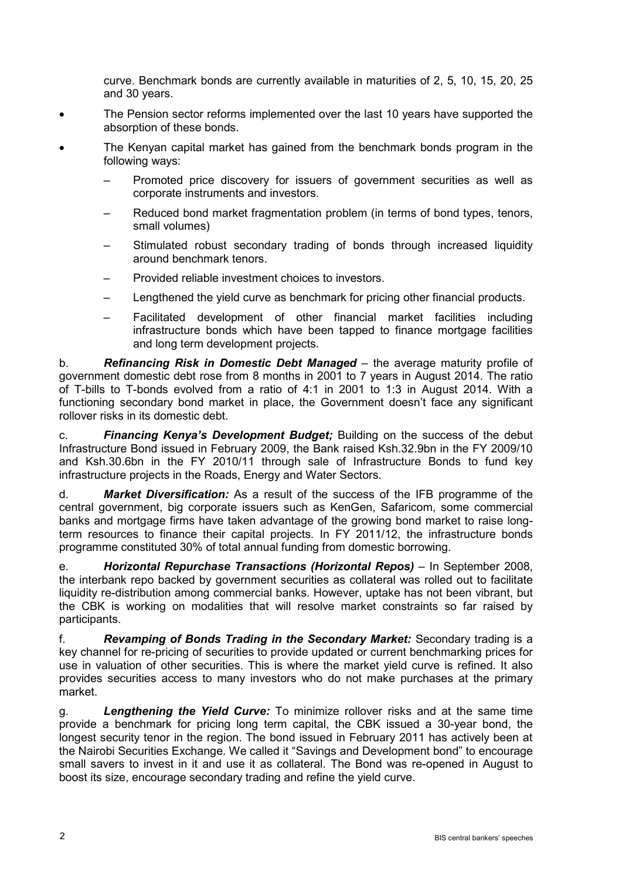curve. Benchmark bonds are currently available in maturities of 2, 5, 10, 15, 20, 25 and 30 years.

- The Pension sector reforms implemented over the last 10 years have supported the absorption of these bonds.
- The Kenyan capital market has gained from the benchmark bonds program in the following ways:
	- Promoted price discovery for issuers of government securities as well as corporate instruments and investors.
	- Reduced bond market fragmentation problem (in terms of bond types, tenors, small volumes)
	- Stimulated robust secondary trading of bonds through increased liquidity around benchmark tenors.
	- Provided reliable investment choices to investors.
	- Lengthened the yield curve as benchmark for pricing other financial products.
	- Facilitated development of other financial market facilities including infrastructure bonds which have been tapped to finance mortgage facilities and long term development projects.

b. **Refinancing Risk in Domestic Debt Managed** – the average maturity profile of government domestic debt rose from 8 months in 2001 to 7 years in August 2014. The ratio of T-bills to T-bonds evolved from a ratio of 4:1 in 2001 to 1:3 in August 2014. With a functioning secondary bond market in place, the Government doesn't face any significant rollover risks in its domestic debt.

c. *Financing Kenya's Development Budget;* Building on the success of the debut Infrastructure Bond issued in February 2009, the Bank raised Ksh.32.9bn in the FY 2009/10 and Ksh.30.6bn in the FY 2010/11 through sale of Infrastructure Bonds to fund key infrastructure projects in the Roads, Energy and Water Sectors.

d. *Market Diversification:* As a result of the success of the IFB programme of the central government, big corporate issuers such as KenGen, Safaricom, some commercial banks and mortgage firms have taken advantage of the growing bond market to raise longterm resources to finance their capital projects. In FY 2011/12, the infrastructure bonds programme constituted 30% of total annual funding from domestic borrowing.

e. *Horizontal Repurchase Transactions (Horizontal Repos)* – In September 2008, the interbank repo backed by government securities as collateral was rolled out to facilitate liquidity re-distribution among commercial banks. However, uptake has not been vibrant, but the CBK is working on modalities that will resolve market constraints so far raised by participants.

f. *Revamping of Bonds Trading in the Secondary Market:* Secondary trading is a key channel for re-pricing of securities to provide updated or current benchmarking prices for use in valuation of other securities. This is where the market yield curve is refined. It also provides securities access to many investors who do not make purchases at the primary market.

g. *Lengthening the Yield Curve:* To minimize rollover risks and at the same time provide a benchmark for pricing long term capital, the CBK issued a 30-year bond, the longest security tenor in the region. The bond issued in February 2011 has actively been at the Nairobi Securities Exchange. We called it "Savings and Development bond" to encourage small savers to invest in it and use it as collateral. The Bond was re-opened in August to boost its size, encourage secondary trading and refine the yield curve.